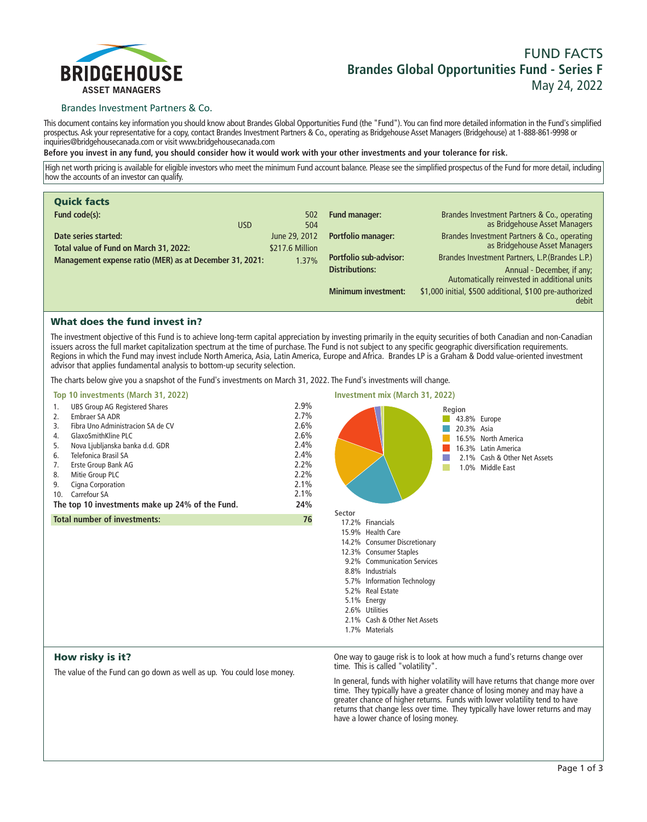

# **FUND FACTS Brandes Global Opportunities Fund - Series F May 24, 2022**

# Brandes Investment Partners & Co.

**This document contains key information you should know about Brandes Global Opportunities Fund (the "Fund"). You can find more detailed information in the Fund's simplified prospectus. Ask your representative for a copy, contact Brandes Investment Partners & Co., operating as Bridgehouse Asset Managers (Bridgehouse) at 1-888-861-9998 or inquiries@bridgehousecanada.com or visit www.bridgehousecanada.com**

**Before you invest in any fund, you should consider how it would work with your other investments and your tolerance for risk.**

**High net worth pricing is available for eligible investors who meet the minimum Fund account balance. Please see the simplified prospectus of the Fund for more detail, including how the accounts of an investor can qualify.**

| <b>Quick facts</b>                                             |                                  |                               |                                                                               |
|----------------------------------------------------------------|----------------------------------|-------------------------------|-------------------------------------------------------------------------------|
| Fund code(s):<br><b>USD</b>                                    | 502<br>504                       | Fund manager:                 | Brandes Investment Partners & Co., operating<br>as Bridgehouse Asset Managers |
| Date series started:<br>Total value of Fund on March 31, 2022: | June 29, 2012<br>\$217.6 Million | <b>Portfolio manager:</b>     | Brandes Investment Partners & Co., operating<br>as Bridgehouse Asset Managers |
| Management expense ratio (MER) as at December 31, 2021:        | 1.37%                            | <b>Portfolio sub-advisor:</b> | Brandes Investment Partners, L.P. (Brandes L.P.)                              |
|                                                                |                                  | <b>Distributions:</b>         | Annual - December, if any;<br>Automatically reinvested in additional units    |
|                                                                |                                  | <b>Minimum investment:</b>    | \$1,000 initial, \$500 additional, \$100 pre-authorized<br>debit              |

# What does the fund invest in?

**The investment objective of this Fund is to achieve long-term capital appreciation by investing primarily in the equity securities of both Canadian and non-Canadian issuers across the full market capitalization spectrum at the time of purchase. The Fund is not subject to any specific geographic diversification requirements. Regions in which the Fund may invest include North America, Asia, Latin America, Europe and Africa. Brandes LP is a Graham & Dodd value-oriented investment advisor that applies fundamental analysis to bottom-up security selection.**

**The charts below give you a snapshot of the Fund's investments on March 31, 2022. The Fund's investments will change.**

| Top 10 investments (March 31, 2022)                                                                                                                                                                                                                                                                                                                                           | Investment mix (March 31, 2022)                                                     |                                                                                                                                                                                                                                                                                                    |
|-------------------------------------------------------------------------------------------------------------------------------------------------------------------------------------------------------------------------------------------------------------------------------------------------------------------------------------------------------------------------------|-------------------------------------------------------------------------------------|----------------------------------------------------------------------------------------------------------------------------------------------------------------------------------------------------------------------------------------------------------------------------------------------------|
| <b>UBS Group AG Registered Shares</b><br>1.<br>Embraer SA ADR<br>2.<br>Fibra Uno Administracion SA de CV<br>3.<br>GlaxoSmithKline PLC<br>4.<br>Nova Ljubljanska banka d.d. GDR<br>5.<br>Telefonica Brasil SA<br>6.<br>Erste Group Bank AG<br>7.<br>8.<br>Mitie Group PLC<br>Cigna Corporation<br>9.<br>Carrefour SA<br>10.<br>The top 10 investments make up 24% of the Fund. | 2.9%<br>2.7%<br>2.6%<br>2.6%<br>2.4%<br>2.4%<br>2.2%<br>2.2%<br>2.1%<br>2.1%<br>24% | Region<br>43.8% Europe<br>20.3% Asia<br>16.5% North America<br>16.3% Latin America<br>2.1% Cash & Other Net Assets<br>1.0% Middle East                                                                                                                                                             |
| <b>Total number of investments:</b>                                                                                                                                                                                                                                                                                                                                           | 76                                                                                  | Sector<br>17.2% Financials<br>15.9% Health Care<br>14.2% Consumer Discretionary<br>12.3% Consumer Staples<br>9.2% Communication Services<br>8.8% Industrials<br>5.7% Information Technology<br>5.2% Real Estate<br>5.1% Energy<br>2.6% Utilities<br>2.1% Cash & Other Net Assets<br>1.7% Materials |
| How risky is it?                                                                                                                                                                                                                                                                                                                                                              |                                                                                     | One way to gauge risk is to look at how much a fund's returns change over                                                                                                                                                                                                                          |

### How risky is it?

**The value of the Fund can go down as well as up. You could lose money.**

**One way to gauge risk is to look at how much a fund's returns change over time. This is called "volatility".**

**In general, funds with higher volatility will have returns that change more over time. They typically have a greater chance of losing money and may have a greater chance of higher returns. Funds with lower volatility tend to have returns that change less over time. They typically have lower returns and may have a lower chance of losing money.**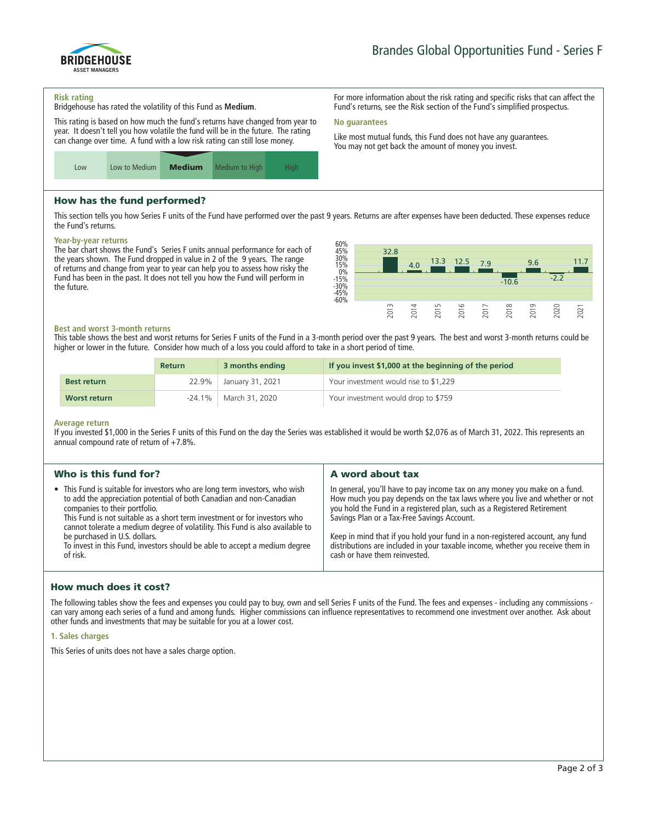

**For more information about the risk rating and specific risks that can affect the Fund's returns, see the Risk section of the Fund's simplified prospectus.**

**Like most mutual funds, this Fund does not have any guarantees. You may not get back the amount of money you invest.**

#### **Risk rating**

**Bridgehouse has rated the volatility of this Fund as Medium.**

**This rating is based on how much the fund's returns have changed from year to year. It doesn't tell you how volatile the fund will be in the future. The rating can change over time. A fund with a low risk rating can still lose money.**



## How has the fund performed?

**This section tells you how Series F units of the Fund have performed over the past 9 years. Returns are after expenses have been deducted. These expenses reduce the Fund's returns.**

**No guarantees**

### **Year-by-year returns**

**The bar chart shows the Fund's Series F units annual performance for each of the years shown. The Fund dropped in value in 2 of the 9 years. The range of returns and change from year to year can help you to assess how risky the Fund has been in the past. It does not tell you how the Fund will perform in the future.**



### **Best and worst 3-month returns**

**This table shows the best and worst returns for Series F units of the Fund in a 3-month period over the past 9 years. The best and worst 3-month returns could be higher or lower in the future. Consider how much of a loss you could afford to take in a short period of time.**

|                    | <b>Return</b> | 3 months ending          | If you invest \$1,000 at the beginning of the period |
|--------------------|---------------|--------------------------|------------------------------------------------------|
| <b>Best return</b> |               | 22.9%   January 31, 2021 | Your investment would rise to \$1,229                |
| Worst return       | $-24.1\%$     | March 31, 2020           | Your investment would drop to \$759                  |

#### **Average return**

**If you invested \$1,000 in the Series F units of this Fund on the day the Series was established it would be worth \$2,076 as of March 31, 2022. This represents an annual compound rate of return of +7.8%.**

| Who is this fund for?                                                                                                                                                                                                                                                                                                                                                                                                                                                        | A word about tax                                                                                                                                                                                                                                                                                                                                                                                                                                                                       |
|------------------------------------------------------------------------------------------------------------------------------------------------------------------------------------------------------------------------------------------------------------------------------------------------------------------------------------------------------------------------------------------------------------------------------------------------------------------------------|----------------------------------------------------------------------------------------------------------------------------------------------------------------------------------------------------------------------------------------------------------------------------------------------------------------------------------------------------------------------------------------------------------------------------------------------------------------------------------------|
| • This Fund is suitable for investors who are long term investors, who wish<br>to add the appreciation potential of both Canadian and non-Canadian<br>companies to their portfolio.<br>This Fund is not suitable as a short term investment or for investors who<br>cannot tolerate a medium degree of volatility. This Fund is also available to<br>be purchased in U.S. dollars.<br>To invest in this Fund, investors should be able to accept a medium degree<br>of risk. | In general, you'll have to pay income tax on any money you make on a fund.<br>How much you pay depends on the tax laws where you live and whether or not<br>you hold the Fund in a registered plan, such as a Registered Retirement<br>Savings Plan or a Tax-Free Savings Account.<br>Keep in mind that if you hold your fund in a non-registered account, any fund<br>distributions are included in your taxable income, whether you receive them in<br>cash or have them reinvested. |

# How much does it cost?

**The following tables show the fees and expenses you could pay to buy, own and sell Series F units of the Fund. The fees and expenses - including any commissions can vary among each series of a fund and among funds. Higher commissions can influence representatives to recommend one investment over another. Ask about other funds and investments that may be suitable for you at a lower cost.**

### **1. Sales charges**

**This Series of units does not have a sales charge option.**